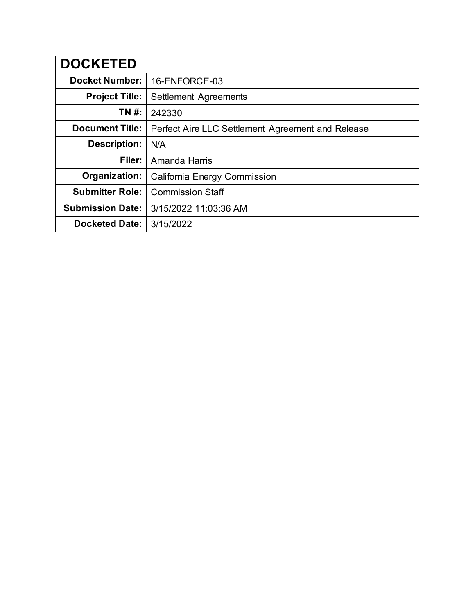| <b>DOCKETED</b>         |                                                   |
|-------------------------|---------------------------------------------------|
| <b>Docket Number:</b>   | 16-ENFORCE-03                                     |
| <b>Project Title:</b>   | Settlement Agreements                             |
| TN #:                   | 242330                                            |
| <b>Document Title:</b>  | Perfect Aire LLC Settlement Agreement and Release |
| <b>Description:</b>     | N/A                                               |
| Filer:                  | Amanda Harris                                     |
| Organization:           | California Energy Commission                      |
| <b>Submitter Role:</b>  | <b>Commission Staff</b>                           |
| <b>Submission Date:</b> | 3/15/2022 11:03:36 AM                             |
| <b>Docketed Date:</b>   | 3/15/2022                                         |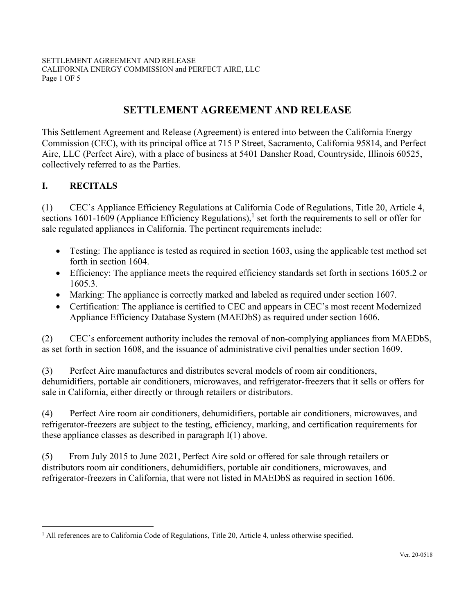# **SETTLEMENT AGREEMENT AND RELEASE**

<span id="page-1-0"></span>This Settlement Agreement and Release (Agreement) is entered into between the California Energy Commission (CEC), with its principal office at 715 P Street, Sacramento, California 95814, and Perfect Aire, LLC (Perfect Aire), with a place of business at 5401 Dansher Road, Countryside, Illinois 60525, collectively referred to as the Parties.

## **I. RECITALS**

(1) CEC's Appliance Efficiency Regulations at California Code of Regulations, Title 20, Article 4, sections 1601-1609 (Appliance Efficiency Regulations),<sup>1</sup> set forth the requirements to sell or offer for sale regulated appliances in California. The pertinent requirements include:

- Testing: The appliance is tested as required in section 1603, using the applicable test method set forth in section 1604.
- Efficiency: The appliance meets the required efficiency standards set forth in sections 1605.2 or 1605.3.
- Marking: The appliance is correctly marked and labeled as required under section 1607.
- Certification: The appliance is certified to CEC and appears in CEC's most recent Modernized Appliance Efficiency Database System (MAEDbS) as required under section 1606.

(2) CEC's enforcement authority includes the removal of non-complying appliances from MAEDbS, as set forth in section 1608, and the issuance of administrative civil penalties under section 1609.

(3) Perfect Aire manufactures and distributes several models of room air conditioners, dehumidifiers, portable air conditioners, microwaves, and refrigerator-freezers that it sells or offers for sale in California, either directly or through retailers or distributors.

(4) Perfect Aire room air conditioners, dehumidifiers, portable air conditioners, microwaves, and refrigerator-freezers are subject to the testing, efficiency, marking, and certification requirements for these appliance classes as described in paragraph I(1) above.

(5) From July 2015 to June 2021, Perfect Aire sold or offered for sale through retailers or distributors room air conditioners, dehumidifiers, portable air conditioners, microwaves, and refrigerator-freezers in California, that were not listed in MAEDbS as required in section 1606.

<sup>&</sup>lt;sup>1</sup> All references are to California Code of Regulations, Title 20, Article 4, unless otherwise specified.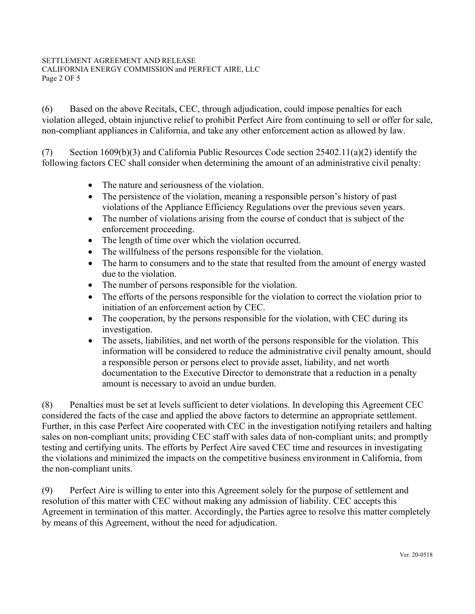#### SETTLEMENT AGREEMENT AND RELEASE CALIFORNIA ENERGY COMMISSION and PERFECT AIRE, LLC Page 2 OF 5

(6) Based on the above Recitals, CEC, through adjudication, could impose penalties for each violation alleged, obtain injunctive relief to prohibit Perfect Aire from continuing to sell or offer for sale, non-compliant appliances in California, and take any other enforcement action as allowed by law.

(7) Section 1609(b)(3) and California Public Resources Code section 25402.11(a)(2) identify the following factors CEC shall consider when determining the amount of an administrative civil penalty:

- The nature and seriousness of the violation.
- The persistence of the violation, meaning a responsible person's history of past violations of the Appliance Efficiency Regulations over the previous seven years.
- The number of violations arising from the course of conduct that is subject of the enforcement proceeding.
- The length of time over which the violation occurred.
- The willfulness of the persons responsible for the violation.
- The harm to consumers and to the state that resulted from the amount of energy wasted due to the violation.
- The number of persons responsible for the violation.
- The efforts of the persons responsible for the violation to correct the violation prior to initiation of an enforcement action by CEC.
- The cooperation, by the persons responsible for the violation, with CEC during its investigation.
- The assets, liabilities, and net worth of the persons responsible for the violation. This information will be considered to reduce the administrative civil penalty amount, should a responsible person or persons elect to provide asset, liability, and net worth documentation to the Executive Director to demonstrate that a reduction in a penalty amount is necessary to avoid an undue burden.

(8) Penalties must be set at levels sufficient to deter violations. In developing this Agreement CEC considered the facts of the case and applied the above factors to determine an appropriate settlement. Further, in this case Perfect Aire cooperated with CEC in the investigation notifying retailers and halting sales on non-compliant units; providing CEC staff with sales data of non-compliant units; and promptly testing and certifying units. The efforts by Perfect Aire saved CEC time and resources in investigating the violations and minimized the impacts on the competitive business environment in California, from the non-compliant units.

(9) Perfect Aire is willing to enter into this Agreement solely for the purpose of settlement and resolution of this matter with CEC without making any admission of liability. CEC accepts this Agreement in termination of this matter. Accordingly, the Parties agree to resolve this matter completely by means of this Agreement, without the need for adjudication.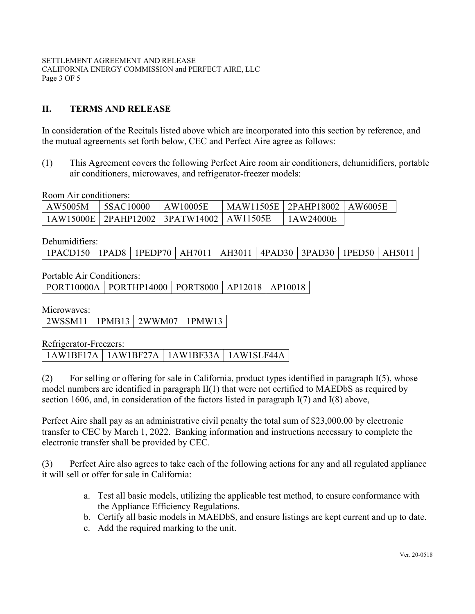## **II. TERMS AND RELEASE**

In consideration of the Recitals listed above which are incorporated into this section by reference, and the mutual agreements set forth below, CEC and Perfect Aire agree as follows:

(1) This Agreement covers the following Perfect Aire room air conditioners, dehumidifiers, portable air conditioners, microwaves, and refrigerator-freezer models:

Room Air conditioners:

| AW5005M | <b>5SAC10000</b> | LAW10005E                                      | MAW11505E   2PAHP18002   AW6005E |           |  |
|---------|------------------|------------------------------------------------|----------------------------------|-----------|--|
|         |                  | 1AW15000E   2PAHP12002   3PATW14002   AW11505E |                                  | 1AW24000E |  |

Dehumidifiers:

| 1PACD150   1PAD8   1PEDP70   AH7011   AH3011   4PAD30   3PAD30   1PED50   AH5011 <sub>1</sub> |  |  |  |  |  |  |  |  |
|-----------------------------------------------------------------------------------------------|--|--|--|--|--|--|--|--|
|-----------------------------------------------------------------------------------------------|--|--|--|--|--|--|--|--|

Portable Air Conditioners:

PORT10000A | PORTHP14000 | PORT8000 | AP12018 | AP10018

Microwaves:

| 2WSSM11 1PPMB13 2WWM07 1PMW13 |  |  |
|-------------------------------|--|--|
|-------------------------------|--|--|

Refrigerator-Freezers:

1AW1BF17A 1AW1BF27A 1AW1BF33A 1AW1SLF44A

(2) For selling or offering for sale in California, product types identified in paragraph I(5), whose model numbers are identified in paragraph II(1) that were not certified to MAEDbS as required by section 1606, and, in consideration of the factors listed in paragraph I(7) and I(8) above,

Perfect Aire shall pay as an administrative civil penalty the total sum of \$23,000.00 by electronic transfer to CEC by March 1, 2022. Banking information and instructions necessary to complete the electronic transfer shall be provided by CEC.

(3) Perfect Aire also agrees to take each of the following actions for any and all regulated appliance it will sell or offer for sale in California:

- a. Test all basic models, utilizing the applicable test method, to ensure conformance with the Appliance Efficiency Regulations.
- b. Certify all basic models in MAEDbS, and ensure listings are kept current and up to date.
- c. Add the required marking to the unit.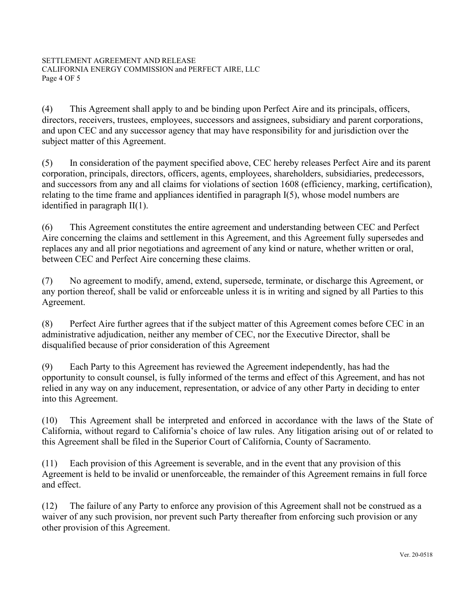(4) This Agreement shall apply to and be binding upon Perfect Aire and its principals, officers, directors, receivers, trustees, employees, successors and assignees, subsidiary and parent corporations, and upon CEC and any successor agency that may have responsibility for and jurisdiction over the subject matter of this Agreement.

(5) In consideration of the payment specified above, CEC hereby releases Perfect Aire and its parent corporation, principals, directors, officers, agents, employees, shareholders, subsidiaries, predecessors, and successors from any and all claims for violations of section 1608 (efficiency, marking, certification), relating to the time frame and appliances identified in paragraph I(5), whose model numbers are identified in paragraph II(1).

(6) This Agreement constitutes the entire agreement and understanding between CEC and Perfect Aire concerning the claims and settlement in this Agreement, and this Agreement fully supersedes and replaces any and all prior negotiations and agreement of any kind or nature, whether written or oral, between CEC and Perfect Aire concerning these claims.

(7) No agreement to modify, amend, extend, supersede, terminate, or discharge this Agreement, or any portion thereof, shall be valid or enforceable unless it is in writing and signed by all Parties to this Agreement.

(8) Perfect Aire further agrees that if the subject matter of this Agreement comes before CEC in an administrative adjudication, neither any member of CEC, nor the Executive Director, shall be disqualified because of prior consideration of this Agreement

(9) Each Party to this Agreement has reviewed the Agreement independently, has had the opportunity to consult counsel, is fully informed of the terms and effect of this Agreement, and has not relied in any way on any inducement, representation, or advice of any other Party in deciding to enter into this Agreement.

(10) This Agreement shall be interpreted and enforced in accordance with the laws of the State of California, without regard to California's choice of law rules. Any litigation arising out of or related to this Agreement shall be filed in the Superior Court of California, County of Sacramento.

(11) Each provision of this Agreement is severable, and in the event that any provision of this Agreement is held to be invalid or unenforceable, the remainder of this Agreement remains in full force and effect.

(12) The failure of any Party to enforce any provision of this Agreement shall not be construed as a waiver of any such provision, nor prevent such Party thereafter from enforcing such provision or any other provision of this Agreement.